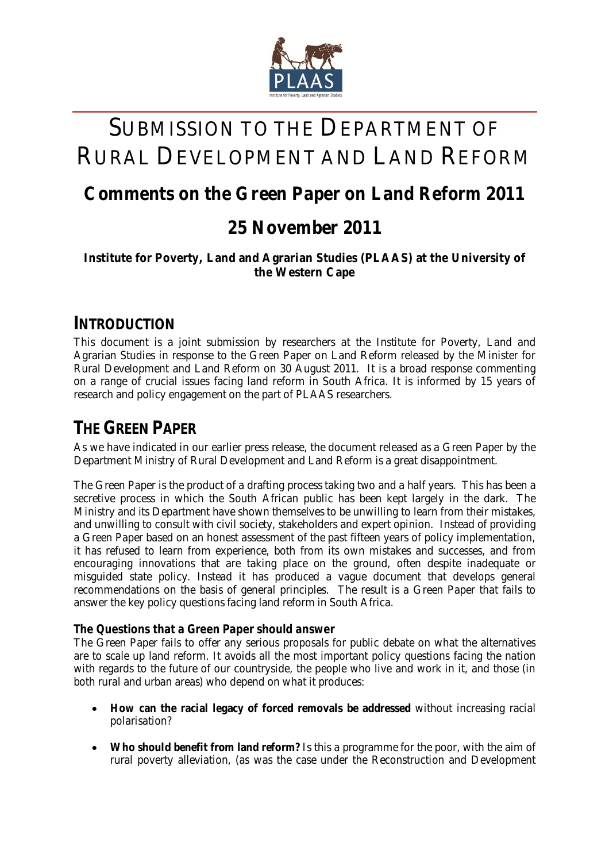

# SUBMISSION TO THE DEPARTMENT OF RURAL DEVELOPMENT AND LAND REFORM

# **Comments on the Green Paper on Land Reform 2011**

# **25 November 2011**

#### **Institute for Poverty, Land and Agrarian Studies (PLAAS) at the University of the Western Cape**

### **INTRODUCTION**

This document is a joint submission by researchers at the Institute for Poverty, Land and Agrarian Studies in response to the Green Paper on Land Reform released by the Minister for Rural Development and Land Reform on 30 August 2011. It is a broad response commenting on a range of crucial issues facing land reform in South Africa. It is informed by 15 years of research and policy engagement on the part of PLAAS researchers.

# **THE GREEN PAPER**

As we have indicated in our earlier press release, the document released as a Green Paper by the Department Ministry of Rural Development and Land Reform is a great disappointment.

The Green Paper is the product of a drafting process taking two and a half years. This has been a secretive process in which the South African public has been kept largely in the dark. The Ministry and its Department have shown themselves to be unwilling to learn from their mistakes, and unwilling to consult with civil society, stakeholders and expert opinion. Instead of providing a Green Paper based on an honest assessment of the past fifteen years of policy implementation, it has refused to learn from experience, both from its own mistakes and successes, and from encouraging innovations that are taking place on the ground, often despite inadequate or misguided state policy. Instead it has produced a vague document that develops general recommendations on the basis of general principles. The result is a Green Paper that fails to answer the key policy questions facing land reform in South Africa.

#### **The Questions that a Green Paper should answer**

The Green Paper fails to offer any serious proposals for public debate on what the alternatives are to scale up land reform. It avoids all the most important policy questions facing the nation with regards to the future of our countryside, the people who live and work in it, and those (in both rural and urban areas) who depend on what it produces:

- **How can the racial legacy of forced removals be addressed** without increasing racial polarisation?
- **Who should benefit from land reform?** Is this a programme for the poor, with the aim of rural poverty alleviation, (as was the case under the Reconstruction and Development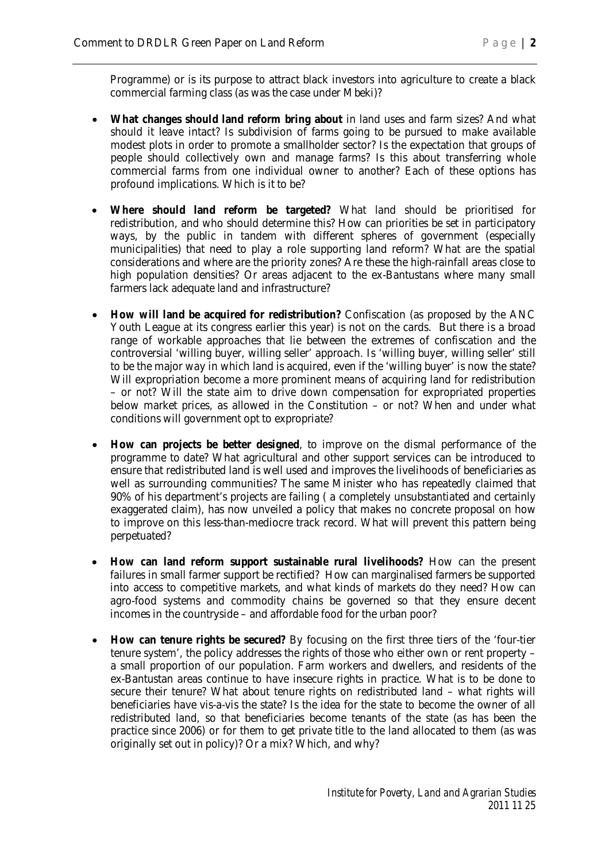Programme) or is its purpose to attract black investors into agriculture to create a black commercial farming class (as was the case under Mbeki)?

- **What changes should land reform bring about** in land uses and farm sizes? And what should it leave intact? Is subdivision of farms going to be pursued to make available modest plots in order to promote a smallholder sector? Is the expectation that groups of people should collectively own and manage farms? Is this about transferring whole commercial farms from one individual owner to another? Each of these options has profound implications. Which is it to be?
- **Where should land reform be targeted?** What land should be prioritised for redistribution, and who should determine this? How can priorities be set in participatory ways, by the public in tandem with different spheres of government (especially municipalities) that need to play a role supporting land reform? What are the spatial considerations and where are the priority zones? Are these the high-rainfall areas close to high population densities? Or areas adjacent to the ex-Bantustans where many small farmers lack adequate land and infrastructure?
- **How will land be acquired for redistribution?** Confiscation (as proposed by the ANC Youth League at its congress earlier this year) is not on the cards. But there is a broad range of workable approaches that lie between the extremes of confiscation and the controversial 'willing buyer, willing seller' approach. Is 'willing buyer, willing seller' still to be the major way in which land is acquired, even if the 'willing buyer' is now the state? Will expropriation become a more prominent means of acquiring land for redistribution – or not? Will the state aim to drive down compensation for expropriated properties below market prices, as allowed in the Constitution – or not? When and under what conditions will government opt to expropriate?
- **How can projects be better designed**, to improve on the dismal performance of the programme to date? What agricultural and other support services can be introduced to ensure that redistributed land is well used and improves the livelihoods of beneficiaries as well as surrounding communities? The same Minister who has repeatedly claimed that 90% of his department's projects are failing ( a completely unsubstantiated and certainly exaggerated claim), has now unveiled a policy that makes no concrete proposal on how to improve on this less-than-mediocre track record. What will prevent this pattern being perpetuated?
- **How can land reform support sustainable rural livelihoods?** How can the present failures in small farmer support be rectified? How can marginalised farmers be supported into access to competitive markets, and what kinds of markets do they need? How can agro-food systems and commodity chains be governed so that they ensure decent incomes in the countryside – and affordable food for the urban poor?
- **How can tenure rights be secured?** By focusing on the first three tiers of the 'four-tier tenure system', the policy addresses the rights of those who either own or rent property – a small proportion of our population. Farm workers and dwellers, and residents of the ex-Bantustan areas continue to have insecure rights in practice. What is to be done to secure their tenure? What about tenure rights on redistributed land – what rights will beneficiaries have vis-a-vis the state? Is the idea for the state to become the owner of all redistributed land, so that beneficiaries become tenants of the state (as has been the practice since 2006) or for them to get private title to the land allocated to them (as was originally set out in policy)? Or a mix? Which, and why?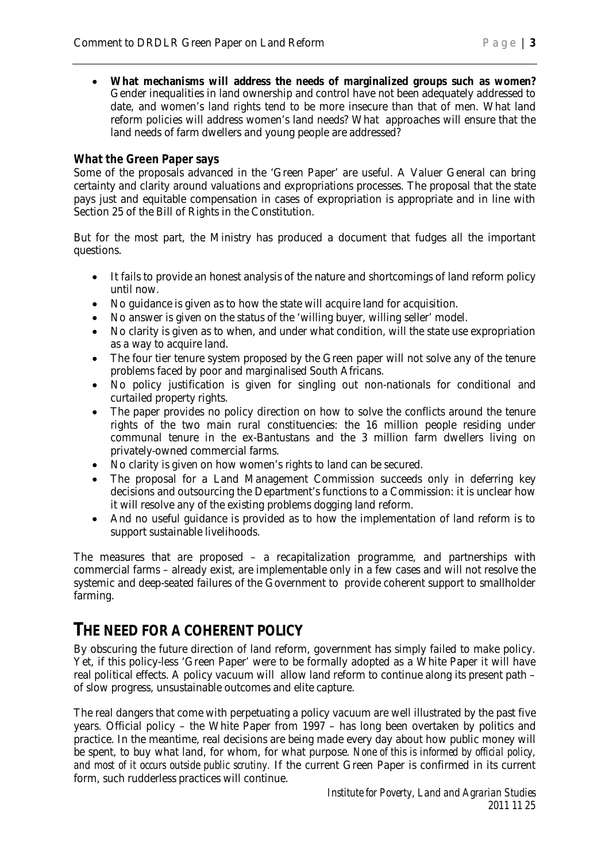**What mechanisms will address the needs of marginalized groups such as women?** Gender inequalities in land ownership and control have not been adequately addressed to date, and women's land rights tend to be more insecure than that of men. What land reform policies will address women's land needs? What approaches will ensure that the land needs of farm dwellers and young people are addressed?

#### **What the Green Paper says**

Some of the proposals advanced in the 'Green Paper' are useful. A Valuer General can bring certainty and clarity around valuations and expropriations processes. The proposal that the state pays just and equitable compensation in cases of expropriation is appropriate and in line with Section 25 of the Bill of Rights in the Constitution.

But for the most part, the Ministry has produced a document that fudges all the important questions.

- It fails to provide an honest analysis of the nature and shortcomings of land reform policy until now.
- No guidance is given as to how the state will acquire land for acquisition.
- No answer is given on the status of the 'willing buyer, willing seller' model.
- No clarity is given as to when, and under what condition, will the state use expropriation as a way to acquire land.
- The four tier tenure system proposed by the Green paper will not solve any of the tenure problems faced by poor and marginalised South Africans.
- No policy justification is given for singling out non-nationals for conditional and curtailed property rights.
- The paper provides no policy direction on how to solve the conflicts around the tenure rights of the two main rural constituencies: the 16 million people residing under communal tenure in the ex-Bantustans and the 3 million farm dwellers living on privately-owned commercial farms.
- No clarity is given on how women's rights to land can be secured.
- The proposal for a Land Management Commission succeeds only in deferring key decisions and outsourcing the Department's functions to a Commission: it is unclear how it will resolve any of the existing problems dogging land reform.
- And no useful guidance is provided as to how the implementation of land reform is to support sustainable livelihoods.

The measures that are proposed – a recapitalization programme, and partnerships with commercial farms – already exist, are implementable only in a few cases and will not resolve the systemic and deep-seated failures of the Government to provide coherent support to smallholder farming.

### **THE NEED FOR A COHERENT POLICY**

By obscuring the future direction of land reform, government has simply failed to make policy. Yet, if this policy-less 'Green Paper' were to be formally adopted as a White Paper it will have real political effects. A policy vacuum will allow land reform to continue along its present path – of slow progress, unsustainable outcomes and elite capture.

The real dangers that come with perpetuating a policy vacuum are well illustrated by the past five years. Official policy – the White Paper from 1997 – has long been overtaken by politics and practice. In the meantime, real decisions are being made every day about how public money will be spent, to buy what land, for whom, for what purpose*. None of this is informed by official policy, and most of it occurs outside public scrutiny.* If the current Green Paper is confirmed in its current form, such rudderless practices will continue.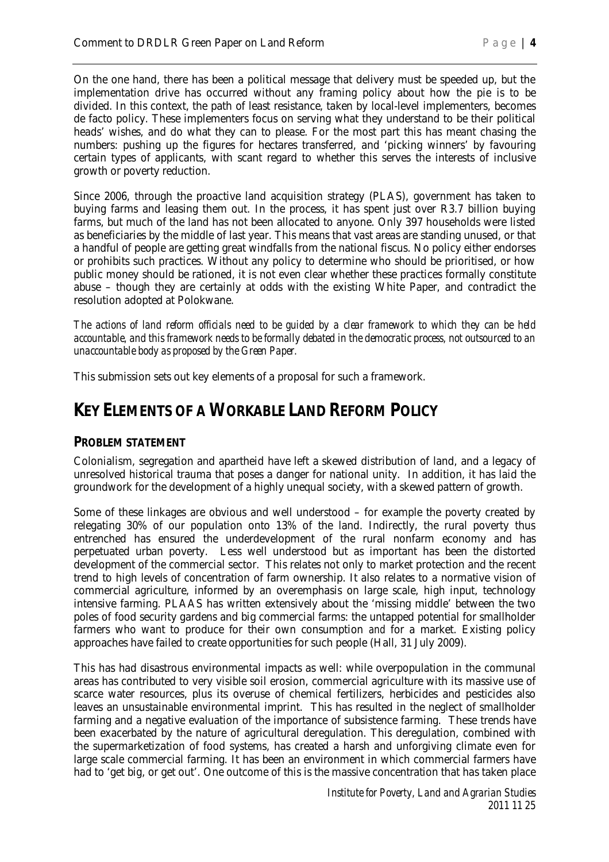On the one hand, there has been a political message that delivery must be speeded up, but the implementation drive has occurred without any framing policy about how the pie is to be divided. In this context, the path of least resistance, taken by local-level implementers, becomes de facto policy. These implementers focus on serving what they understand to be their political heads' wishes, and do what they can to please. For the most part this has meant chasing the numbers: pushing up the figures for hectares transferred, and 'picking winners' by favouring certain types of applicants, with scant regard to whether this serves the interests of inclusive growth or poverty reduction.

Since 2006, through the proactive land acquisition strategy (PLAS), government has taken to buying farms and leasing them out. In the process, it has spent just over R3.7 billion buying farms, but much of the land has not been allocated to anyone. Only 397 households were listed as beneficiaries by the middle of last year. This means that vast areas are standing unused, or that a handful of people are getting great windfalls from the national fiscus. No policy either endorses or prohibits such practices. Without any policy to determine who should be prioritised, or how public money should be rationed, it is not even clear whether these practices formally constitute abuse – though they are certainly at odds with the existing White Paper, and contradict the resolution adopted at Polokwane.

*The actions of land reform officials need to be guided by a clear framework to which they can be held accountable, and this framework needs to be formally debated in the democratic process, not outsourced to an unaccountable body as proposed by the Green Paper.*

This submission sets out key elements of a proposal for such a framework.

### **KEY ELEMENTS OF A WORKABLE LAND REFORM POLICY**

#### **PROBLEM STATEMENT**

Colonialism, segregation and apartheid have left a skewed distribution of land, and a legacy of unresolved historical trauma that poses a danger for national unity. In addition, it has laid the groundwork for the development of a highly unequal society, with a skewed pattern of growth.

Some of these linkages are obvious and well understood – for example the poverty created by relegating 30% of our population onto 13% of the land. Indirectly, the rural poverty thus entrenched has ensured the underdevelopment of the rural nonfarm economy and has perpetuated urban poverty. Less well understood but as important has been the distorted development of the commercial sector. This relates not only to market protection and the recent trend to high levels of concentration of farm ownership. It also relates to a normative vision of commercial agriculture, informed by an overemphasis on large scale, high input, technology intensive farming. PLAAS has written extensively about the 'missing middle' between the two poles of food security gardens and big commercial farms: the untapped potential for smallholder farmers who want to produce for their own consumption *and* for a market. Existing policy approaches have failed to create opportunities for such people (Hall, 31 July 2009).

This has had disastrous environmental impacts as well: while overpopulation in the communal areas has contributed to very visible soil erosion, commercial agriculture with its massive use of scarce water resources, plus its overuse of chemical fertilizers, herbicides and pesticides also leaves an unsustainable environmental imprint. This has resulted in the neglect of smallholder farming and a negative evaluation of the importance of subsistence farming. These trends have been exacerbated by the nature of agricultural deregulation. This deregulation, combined with the supermarketization of food systems, has created a harsh and unforgiving climate even for large scale commercial farming. It has been an environment in which commercial farmers have had to 'get big, or get out'. One outcome of this is the massive concentration that has taken place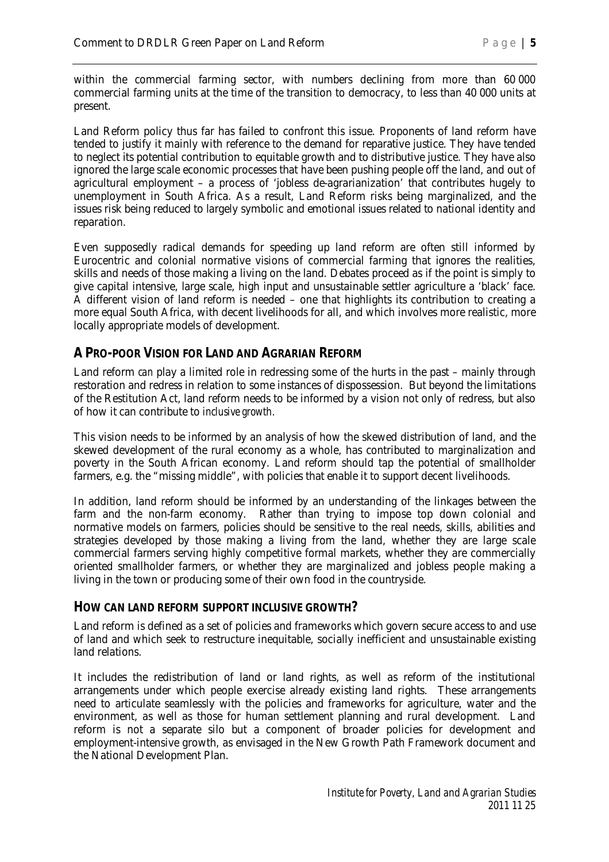within the commercial farming sector, with numbers declining from more than 60 000 commercial farming units at the time of the transition to democracy, to less than 40 000 units at present.

Land Reform policy thus far has failed to confront this issue. Proponents of land reform have tended to justify it mainly with reference to the demand for reparative justice. They have tended to neglect its potential contribution to equitable growth and to distributive justice. They have also ignored the large scale economic processes that have been pushing people off the land, and out of agricultural employment – a process of 'jobless de-agrarianization' that contributes hugely to unemployment in South Africa. As a result, Land Reform risks being marginalized, and the issues risk being reduced to largely symbolic and emotional issues related to national identity and reparation.

Even supposedly radical demands for speeding up land reform are often still informed by Eurocentric and colonial normative visions of commercial farming that ignores the realities, skills and needs of those making a living on the land. Debates proceed as if the point is simply to give capital intensive, large scale, high input and unsustainable settler agriculture a 'black' face. A different vision of land reform is needed – one that highlights its contribution to creating a more equal South Africa, with decent livelihoods for all, and which involves more realistic, more locally appropriate models of development.

#### **A PRO-POOR VISION FOR LAND AND AGRARIAN REFORM**

Land reform *can* play a limited role in redressing some of the hurts in the past – mainly through restoration and redress in relation to some instances of dispossession. But beyond the limitations of the Restitution Act, land reform needs to be informed by a vision not only of redress, but also of how it can contribute to *inclusive growth*.

This vision needs to be informed by an analysis of how the skewed distribution of land, and the skewed development of the rural economy as a whole, has contributed to marginalization and poverty in the South African economy. Land reform should tap the potential of smallholder farmers, e.g. the "missing middle", with policies that enable it to support decent livelihoods.

In addition, land reform should be informed by an understanding of the linkages between the farm and the non-farm economy. Rather than trying to impose top down colonial and normative models on farmers, policies should be sensitive to the real needs, skills, abilities and strategies developed by those making a living from the land, whether they are large scale commercial farmers serving highly competitive formal markets, whether they are commercially oriented smallholder farmers, or whether they are marginalized and jobless people making a living in the town or producing some of their own food in the countryside.

#### **HOW CAN LAND REFORM SUPPORT INCLUSIVE GROWTH?**

Land reform is defined as a set of policies and frameworks which govern secure access to and use of land and which seek to restructure inequitable, socially inefficient and unsustainable existing land relations.

It includes the redistribution of land or land rights, as well as reform of the institutional arrangements under which people exercise already existing land rights. These arrangements need to articulate seamlessly with the policies and frameworks for agriculture, water and the environment, as well as those for human settlement planning and rural development. Land reform is not a separate silo but a component of broader policies for development and employment-intensive growth, as envisaged in the New Growth Path Framework document and the National Development Plan.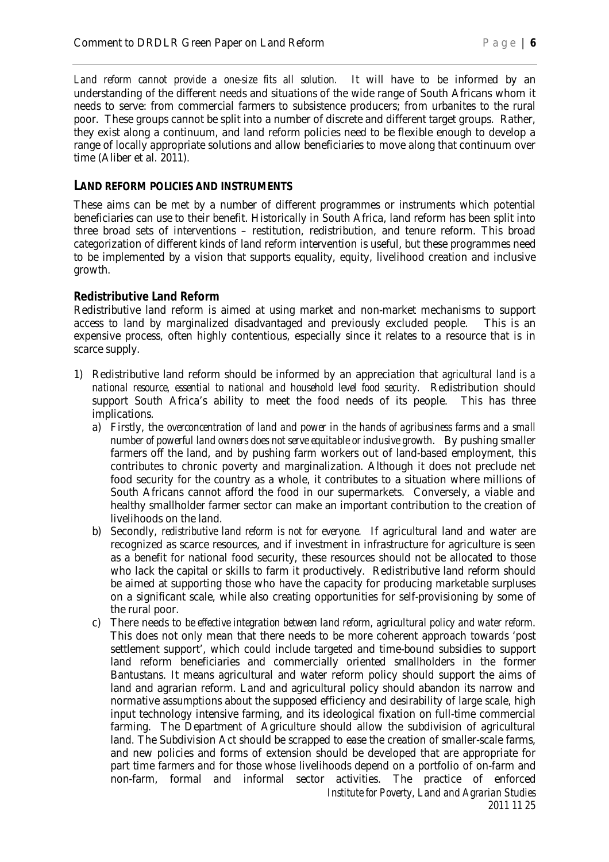*Land reform cannot provide a one-size fits all solution.* It will have to be informed by an understanding of the different needs and situations of the wide range of South Africans whom it needs to serve: from commercial farmers to subsistence producers; from urbanites to the rural poor. These groups cannot be split into a number of discrete and different target groups. Rather, they exist along a continuum, and land reform policies need to be flexible enough to develop a range of locally appropriate solutions and allow beneficiaries to move along that continuum over time (Aliber et al. 2011).

#### **LAND REFORM POLICIES AND INSTRUMENTS**

These aims can be met by a number of different programmes or instruments which potential beneficiaries can use to their benefit. Historically in South Africa, land reform has been split into three broad sets of interventions – restitution, redistribution, and tenure reform. This broad categorization of different kinds of land reform intervention is useful, but these programmes need to be implemented by a vision that supports equality, equity, livelihood creation and inclusive growth.

#### **Redistributive Land Reform**

Redistributive land reform is aimed at using market and non-market mechanisms to support access to land by marginalized disadvantaged and previously excluded people. This is an expensive process, often highly contentious, especially since it relates to a resource that is in scarce supply.

- 1) Redistributive land reform should be informed by an appreciation that *agricultural land is a national resource, essential to national and household level food security.* Redistribution should support South Africa's ability to meet the food needs of its people. This has three implications.
	- a) Firstly, the *overconcentration of land and power in the hands of agribusiness farms and a small number of powerful land owners does not serve equitable or inclusive growth*. By pushing smaller farmers off the land, and by pushing farm workers out of land-based employment, this contributes to chronic poverty and marginalization. Although it does not preclude net food security for the country as a whole, it contributes to a situation where millions of South Africans cannot afford the food in our supermarkets. Conversely, a viable and healthy smallholder farmer sector can make an important contribution to the creation of livelihoods on the land.
	- b) Secondly, *redistributive land reform is not for everyone*. If agricultural land and water are recognized as scarce resources, and if investment in infrastructure for agriculture is seen as a benefit for national food security, these resources should not be allocated to those who lack the capital or skills to farm it productively. Redistributive land reform should be aimed at supporting those who have the capacity for producing marketable surpluses on a significant scale, while also creating opportunities for self-provisioning by some of the rural poor.
	- *Institute for Poverty, Land and Agrarian Studies 2011 11 25* c) There needs to *be effective integration between land reform, agricultural policy and water reform*. This does not only mean that there needs to be more coherent approach towards 'post settlement support', which could include targeted and time-bound subsidies to support land reform beneficiaries and commercially oriented smallholders in the former Bantustans. It means agricultural and water reform policy should support the aims of land and agrarian reform. Land and agricultural policy should abandon its narrow and normative assumptions about the supposed efficiency and desirability of large scale, high input technology intensive farming, and its ideological fixation on full-time commercial farming. The Department of Agriculture should allow the subdivision of agricultural land. The Subdivision Act should be scrapped to ease the creation of smaller-scale farms, and new policies and forms of extension should be developed that are appropriate for part time farmers and for those whose livelihoods depend on a portfolio of on-farm and non-farm, formal and informal sector activities. The practice of enforced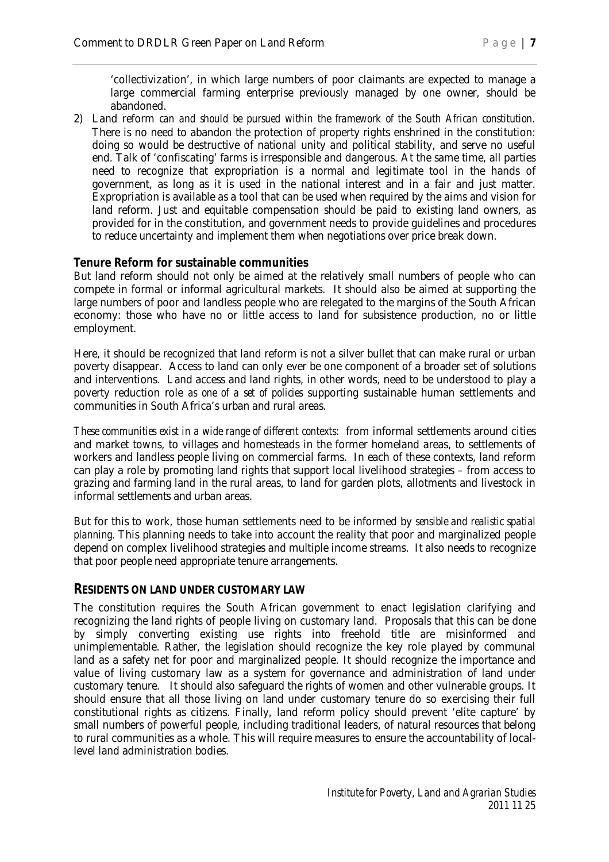'collectivization', in which large numbers of poor claimants are expected to manage a large commercial farming enterprise previously managed by one owner, should be abandoned.

2) Land reform *can and should be pursued within the framework of the South African constitution*. There is no need to abandon the protection of property rights enshrined in the constitution: doing so would be destructive of national unity and political stability, and serve no useful end. Talk of 'confiscating' farms is irresponsible and dangerous. At the same time, all parties need to recognize that expropriation is a normal and legitimate tool in the hands of government, as long as it is used in the national interest and in a fair and just matter. Expropriation is available as a tool that can be used when required by the aims and vision for land reform. Just and equitable compensation should be paid to existing land owners, as provided for in the constitution, and government needs to provide guidelines and procedures to reduce uncertainty and implement them when negotiations over price break down.

#### **Tenure Reform for sustainable communities**

But land reform should not only be aimed at the relatively small numbers of people who can compete in formal or informal agricultural markets. It should also be aimed at supporting the large numbers of poor and landless people who are relegated to the margins of the South African economy: those who have no or little access to land for subsistence production, no or little employment.

Here, it should be recognized that land reform is not a silver bullet that can make rural or urban poverty disappear. Access to land can only ever be one component of a broader set of solutions and interventions. Land access and land rights, in other words, need to be understood to play a poverty reduction role *as one of a set of policies* supporting sustainable human settlements and communities in South Africa's urban and rural areas.

*These communities exist in a wide range of different contexts*: from informal settlements around cities and market towns, to villages and homesteads in the former homeland areas, to settlements of workers and landless people living on commercial farms. In each of these contexts, land reform can play a role by promoting land rights that support local livelihood strategies – from access to grazing and farming land in the rural areas, to land for garden plots, allotments and livestock in informal settlements and urban areas.

But for this to work, those human settlements need to be informed by *sensible and realistic spatial planning.* This planning needs to take into account the reality that poor and marginalized people depend on complex livelihood strategies and multiple income streams. It also needs to recognize that poor people need appropriate tenure arrangements.

#### **RESIDENTS ON LAND UNDER CUSTOMARY LAW**

The constitution requires the South African government to enact legislation clarifying and recognizing the land rights of people living on customary land. Proposals that this can be done by simply converting existing use rights into freehold title are misinformed and unimplementable. Rather, the legislation should recognize the key role played by communal land as a safety net for poor and marginalized people. It should recognize the importance and value of living customary law as a system for governance and administration of land under customary tenure. It should also safeguard the rights of women and other vulnerable groups. It should ensure that all those living on land under customary tenure do so exercising their full constitutional rights as citizens. Finally, land reform policy should prevent 'elite capture' by small numbers of powerful people, including traditional leaders, of natural resources that belong to rural communities as a whole. This will require measures to ensure the accountability of locallevel land administration bodies.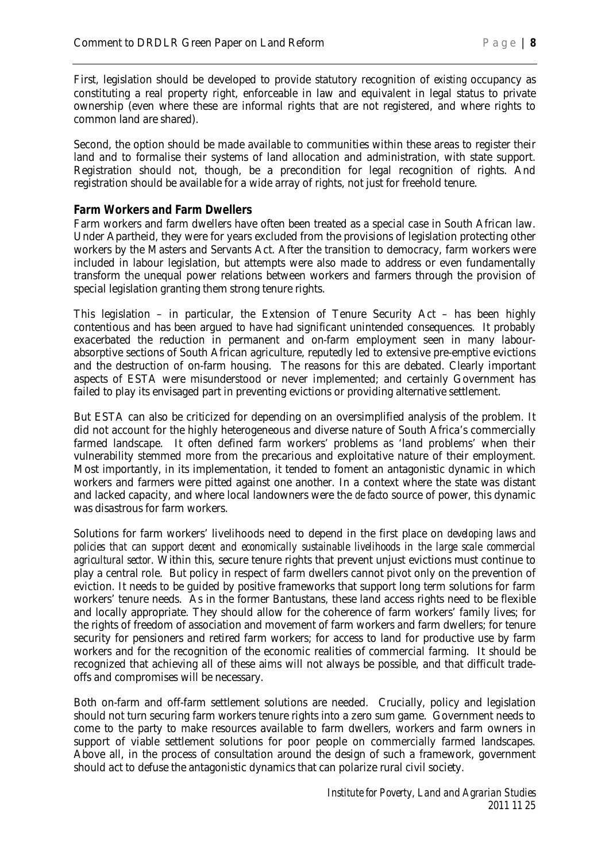First, legislation should be developed to provide statutory recognition of *existing* occupancy as constituting a real property right, enforceable in law and equivalent in legal status to private ownership (even where these are informal rights that are not registered, and where rights to common land are shared).

Second, the option should be made available to communities within these areas to register their land and to formalise their systems of land allocation and administration, with state support. Registration should not, though, be a precondition for legal recognition of rights. And registration should be available for a wide array of rights, not just for freehold tenure.

#### **Farm Workers and Farm Dwellers**

Farm workers and farm dwellers have often been treated as a special case in South African law. Under Apartheid, they were for years excluded from the provisions of legislation protecting other workers by the Masters and Servants Act. After the transition to democracy, farm workers were included in labour legislation, but attempts were also made to address or even fundamentally transform the unequal power relations between workers and farmers through the provision of special legislation granting them strong tenure rights.

This legislation – in particular, the Extension of Tenure Security Act – has been highly contentious and has been argued to have had significant unintended consequences. It probably exacerbated the reduction in permanent and on-farm employment seen in many labourabsorptive sections of South African agriculture, reputedly led to extensive pre-emptive evictions and the destruction of on-farm housing. The reasons for this are debated. Clearly important aspects of ESTA were misunderstood or never implemented; and certainly Government has failed to play its envisaged part in preventing evictions or providing alternative settlement.

But ESTA can also be criticized for depending on an oversimplified analysis of the problem. It did not account for the highly heterogeneous and diverse nature of South Africa's commercially farmed landscape. It often defined farm workers' problems as 'land problems' when their vulnerability stemmed more from the precarious and exploitative nature of their employment. Most importantly, in its implementation, it tended to foment an antagonistic dynamic in which workers and farmers were pitted against one another. In a context where the state was distant and lacked capacity, and where local landowners were the *de fact*o source of power, this dynamic was disastrous for farm workers.

Solutions for farm workers' livelihoods need to depend in the first place on *developing laws and policies that can support decent and economically sustainable livelihoods in the large scale commercial agricultural sector*. Within this, secure tenure rights that prevent unjust evictions must continue to play a central role. But policy in respect of farm dwellers cannot pivot only on the prevention of eviction. It needs to be guided by positive frameworks that support long term solutions for farm workers' tenure needs. As in the former Bantustans, these land access rights need to be flexible and locally appropriate. They should allow for the coherence of farm workers' family lives; for the rights of freedom of association and movement of farm workers and farm dwellers; for tenure security for pensioners and retired farm workers; for access to land for productive use by farm workers and for the recognition of the economic realities of commercial farming. It should be recognized that achieving all of these aims will not always be possible, and that difficult tradeoffs and compromises will be necessary.

Both on-farm and off-farm settlement solutions are needed. Crucially, policy and legislation should not turn securing farm workers tenure rights into a zero sum game. Government needs to come to the party to make resources available to farm dwellers, workers and farm owners in support of viable settlement solutions for poor people on commercially farmed landscapes. Above all, in the process of consultation around the design of such a framework, government should act to defuse the antagonistic dynamics that can polarize rural civil society.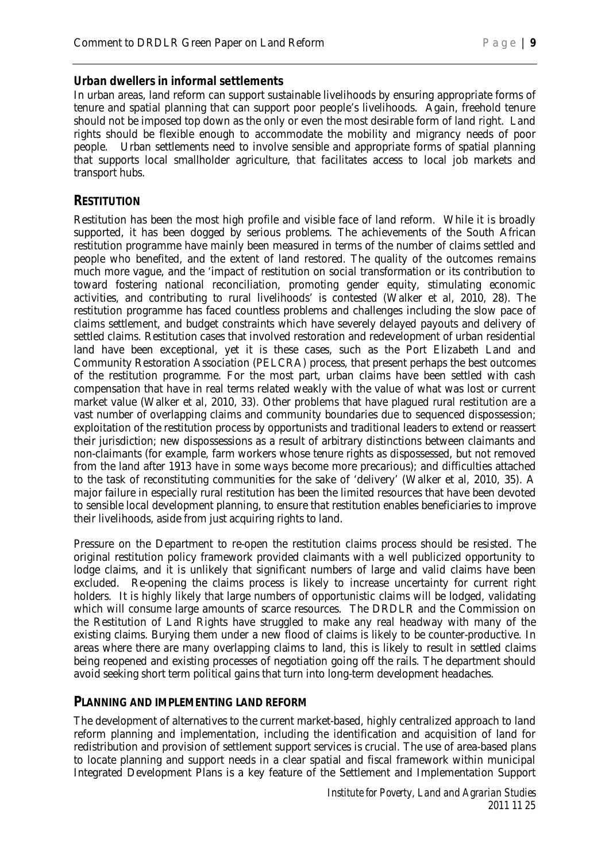#### **Urban dwellers in informal settlements**

In urban areas, land reform can support sustainable livelihoods by ensuring appropriate forms of tenure and spatial planning that can support poor people's livelihoods. Again, freehold tenure should not be imposed top down as the only or even the most desirable form of land right. Land rights should be flexible enough to accommodate the mobility and migrancy needs of poor people. Urban settlements need to involve sensible and appropriate forms of spatial planning that supports local smallholder agriculture, that facilitates access to local job markets and transport hubs.

#### **RESTITUTION**

Restitution has been the most high profile and visible face of land reform. While it is broadly supported, it has been dogged by serious problems. The achievements of the South African restitution programme have mainly been measured in terms of the number of claims settled and people who benefited, and the extent of land restored. The quality of the outcomes remains much more vague, and the 'impact of restitution on social transformation or its contribution to toward fostering national reconciliation, promoting gender equity, stimulating economic activities, and contributing to rural livelihoods' is contested (Walker et al, 2010, 28). The restitution programme has faced countless problems and challenges including the slow pace of claims settlement, and budget constraints which have severely delayed payouts and delivery of settled claims. Restitution cases that involved restoration and redevelopment of urban residential land have been exceptional, yet it is these cases, such as the Port Elizabeth Land and Community Restoration Association (PELCRA) process, that present perhaps the best outcomes of the restitution programme. For the most part, urban claims have been settled with cash compensation that have in real terms related weakly with the value of what was lost or current market value (Walker et al, 2010, 33). Other problems that have plagued rural restitution are a vast number of overlapping claims and community boundaries due to sequenced dispossession; exploitation of the restitution process by opportunists and traditional leaders to extend or reassert their jurisdiction; new dispossessions as a result of arbitrary distinctions between claimants and non-claimants (for example, farm workers whose tenure rights as dispossessed, but not removed from the land after 1913 have in some ways become more precarious); and difficulties attached to the task of reconstituting communities for the sake of 'delivery' (Walker et al, 2010, 35). A major failure in especially rural restitution has been the limited resources that have been devoted to sensible local development planning, to ensure that restitution enables beneficiaries to improve their livelihoods, aside from just acquiring rights to land.

Pressure on the Department to re-open the restitution claims process should be resisted. The original restitution policy framework provided claimants with a well publicized opportunity to lodge claims, and it is unlikely that significant numbers of large and valid claims have been excluded. Re-opening the claims process is likely to increase uncertainty for current right holders. It is highly likely that large numbers of opportunistic claims will be lodged, validating which will consume large amounts of scarce resources. The DRDLR and the Commission on the Restitution of Land Rights have struggled to make any real headway with many of the existing claims. Burying them under a new flood of claims is likely to be counter-productive. In areas where there are many overlapping claims to land, this is likely to result in settled claims being reopened and existing processes of negotiation going off the rails. The department should avoid seeking short term political gains that turn into long-term development headaches.

#### **PLANNING AND IMPLEMENTING LAND REFORM**

The development of alternatives to the current market-based, highly centralized approach to land reform planning and implementation, including the identification and acquisition of land for redistribution and provision of settlement support services is crucial. The use of area-based plans to locate planning and support needs in a clear spatial and fiscal framework within municipal Integrated Development Plans is a key feature of the Settlement and Implementation Support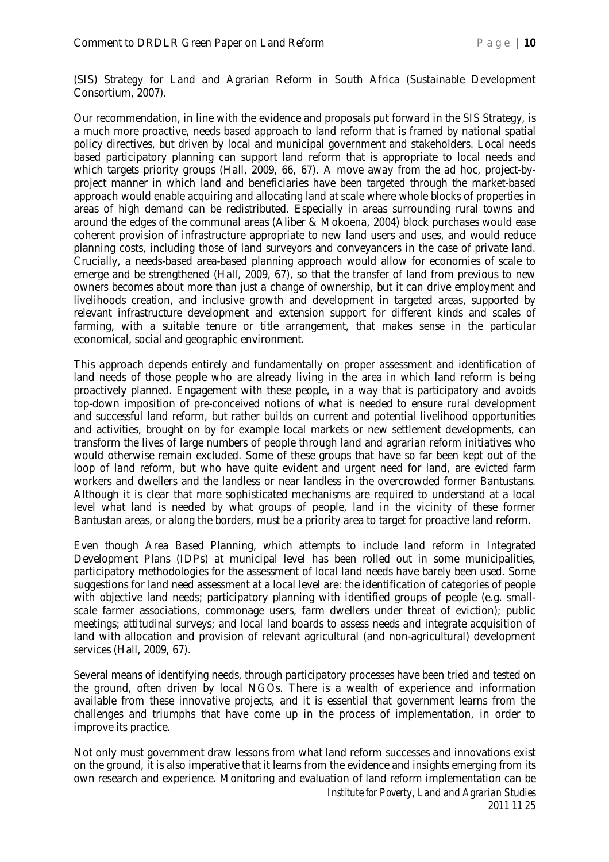(SIS) Strategy for Land and Agrarian Reform in South Africa (Sustainable Development Consortium, 2007).

Our recommendation, in line with the evidence and proposals put forward in the SIS Strategy, is a much more proactive, needs based approach to land reform that is framed by national spatial policy directives, but driven by local and municipal government and stakeholders. Local needs based participatory planning can support land reform that is appropriate to local needs and which targets priority groups (Hall, 2009, 66, 67). A move away from the ad hoc, project-byproject manner in which land and beneficiaries have been targeted through the market-based approach would enable acquiring and allocating land at scale where whole blocks of properties in areas of high demand can be redistributed. Especially in areas surrounding rural towns and around the edges of the communal areas (Aliber & Mokoena, 2004) block purchases would ease coherent provision of infrastructure appropriate to new land users and uses, and would reduce planning costs, including those of land surveyors and conveyancers in the case of private land. Crucially, a needs-based area-based planning approach would allow for economies of scale to emerge and be strengthened (Hall, 2009, 67), so that the transfer of land from previous to new owners becomes about more than just a change of ownership, but it can drive employment and livelihoods creation, and inclusive growth and development in targeted areas, supported by relevant infrastructure development and extension support for different kinds and scales of farming, with a suitable tenure or title arrangement, that makes sense in the particular economical, social and geographic environment.

This approach depends entirely and fundamentally on proper assessment and identification of land needs of those people who are already living in the area in which land reform is being proactively planned. Engagement with these people, in a way that is participatory and avoids top-down imposition of pre-conceived notions of what is needed to ensure rural development and successful land reform, but rather builds on current and potential livelihood opportunities and activities, brought on by for example local markets or new settlement developments, can transform the lives of large numbers of people through land and agrarian reform initiatives who would otherwise remain excluded. Some of these groups that have so far been kept out of the loop of land reform, but who have quite evident and urgent need for land, are evicted farm workers and dwellers and the landless or near landless in the overcrowded former Bantustans. Although it is clear that more sophisticated mechanisms are required to understand at a local level what land is needed by what groups of people, land in the vicinity of these former Bantustan areas, or along the borders, must be a priority area to target for proactive land reform.

Even though Area Based Planning, which attempts to include land reform in Integrated Development Plans (IDPs) at municipal level has been rolled out in some municipalities, participatory methodologies for the assessment of local land needs have barely been used. Some suggestions for land need assessment at a local level are: the identification of categories of people with objective land needs; participatory planning with identified groups of people (e.g. smallscale farmer associations, commonage users, farm dwellers under threat of eviction); public meetings; attitudinal surveys; and local land boards to assess needs and integrate acquisition of land with allocation and provision of relevant agricultural (and non-agricultural) development services (Hall, 2009, 67).

Several means of identifying needs, through participatory processes have been tried and tested on the ground, often driven by local NGOs. There is a wealth of experience and information available from these innovative projects, and it is essential that government learns from the challenges and triumphs that have come up in the process of implementation, in order to improve its practice.

Not only must government draw lessons from what land reform successes and innovations exist on the ground, it is also imperative that it learns from the evidence and insights emerging from its own research and experience. Monitoring and evaluation of land reform implementation can be